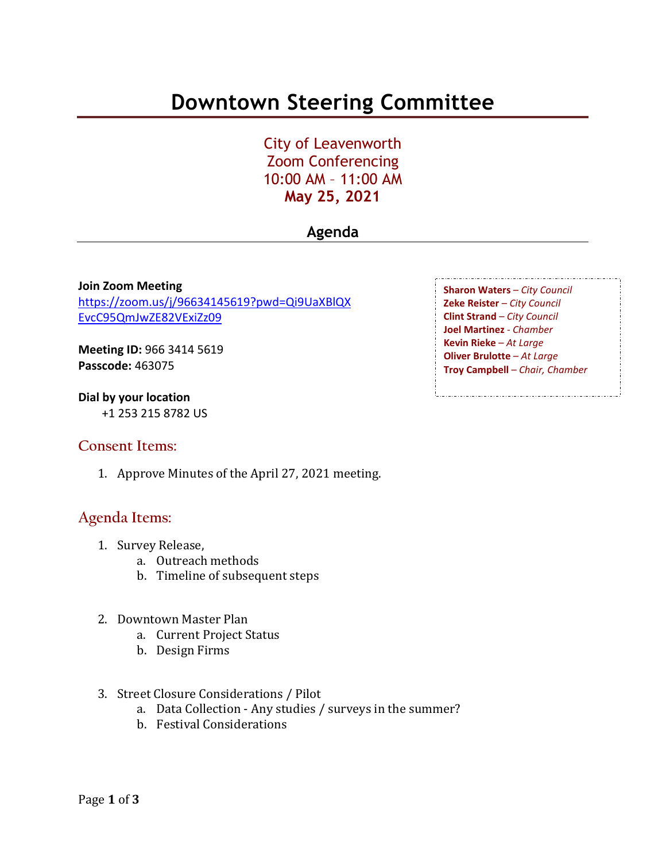# **Downtown Steering Committee**

City of Leavenworth Zoom Conferencing 10:00 AM – 11:00 AM **May 25, 2021**

### **Agenda**

**Join Zoom Meeting** [https://zoom.us/j/96634145619?pwd=Qi9UaXBlQX](https://zoom.us/j/96634145619?pwd=Qi9UaXBlQXEvcC95QmJwZE82VExiZz09) [EvcC95QmJwZE82VExiZz09](https://zoom.us/j/96634145619?pwd=Qi9UaXBlQXEvcC95QmJwZE82VExiZz09)

**Meeting ID:** 966 3414 5619 **Passcode:** 463075

**Dial by your location** +1 253 215 8782 US

### **Consent Items:**

1. Approve Minutes of the April 27, 2021 meeting.

### **Agenda Items:**

- 1. Survey Release,
	- a. Outreach methods
	- b. Timeline of subsequent steps
- 2. Downtown Master Plan
	- a. Current Project Status
	- b. Design Firms
- 3. Street Closure Considerations / Pilot
	- a. Data Collection Any studies / surveys in the summer?
	- b. Festival Considerations

**Sharon Waters** – *City Council* **Zeke Reister** – *City Council* **Clint Strand** – *City Council* **Joel Martinez** - *Chamber* **Kevin Rieke** – *At Large* **Oliver Brulotte** – *At Large* **Troy Campbell** – *Chair, Chamber*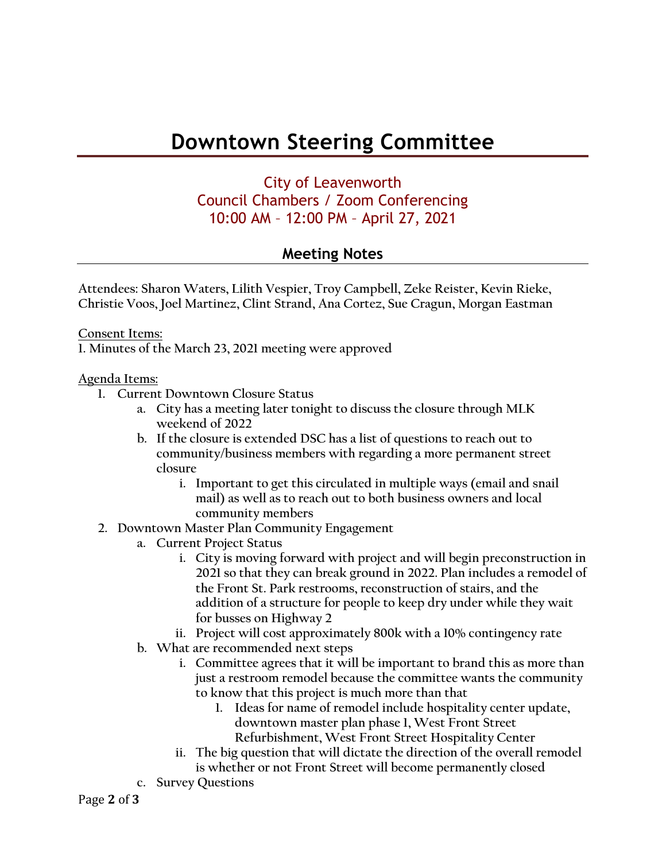## **Downtown Steering Committee**

## City of Leavenworth Council Chambers / Zoom Conferencing 10:00 AM – 12:00 PM – April 27, 2021

### **Meeting Notes**

**Attendees: Sharon Waters, Lilith Vespier, Troy Campbell, Zeke Reister, Kevin Rieke, Christie Voos, Joel Martinez, Clint Strand, Ana Cortez, Sue Cragun, Morgan Eastman**

**Consent Items: 1. Minutes of the March 23, 2021 meeting were approved**

#### **Agenda Items:**

- **1. Current Downtown Closure Status**
	- **a. City has a meeting later tonight to discuss the closure through MLK weekend of 2022**
	- **b. If the closure is extended DSC has a list of questions to reach out to community/business members with regarding a more permanent street closure**
		- **i. Important to get this circulated in multiple ways (email and snail mail) as well as to reach out to both business owners and local community members**
- **2. Downtown Master Plan Community Engagement**
	- **a. Current Project Status** 
		- **i. City is moving forward with project and will begin preconstruction in 2021 so that they can break ground in 2022. Plan includes a remodel of the Front St. Park restrooms, reconstruction of stairs, and the addition of a structure for people to keep dry under while they wait for busses on Highway 2**
		- **ii. Project will cost approximately 800k with a 10% contingency rate**
	- **b. What are recommended next steps**
		- **i. Committee agrees that it will be important to brand this as more than just a restroom remodel because the committee wants the community to know that this project is much more than that**
			- **1. Ideas for name of remodel include hospitality center update, downtown master plan phase 1, West Front Street Refurbishment, West Front Street Hospitality Center**
		- **ii. The big question that will dictate the direction of the overall remodel is whether or not Front Street will become permanently closed**
	- **c. Survey Questions**